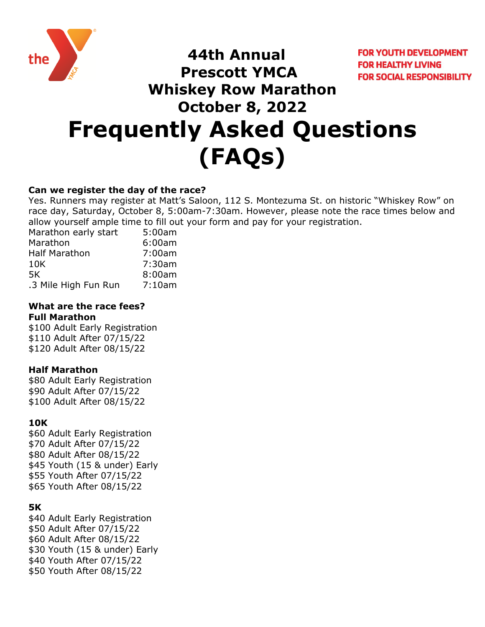

**FOR YOUTH DEVELOPMENT FOR HEALTHY LIVING FOR SOCIAL RESPONSIBILITY** 

# **Prescott YMCA Whiskey Row Marathon October 8, 2022 Frequently Asked Questions (FAQs)**

 **44th Annual**

## **Can we register the day of the race?**

Yes. Runners may register at Matt's Saloon, 112 S. Montezuma St. on historic "Whiskey Row" on race day, Saturday, October 8, 5:00am-7:30am. However, please note the race times below and allow yourself ample time to fill out your form and pay for your registration.

| Marathon early start | 5:00am |
|----------------------|--------|
| Marathon             | 6:00am |
| <b>Half Marathon</b> | 7:00am |
| 10K                  | 7:30am |
| 5K                   | 8:00am |
| .3 Mile High Fun Run | 7:10am |

#### **What are the race fees? Full Marathon**

\$100 Adult Early Registration \$110 Adult After 07/15/22 \$120 Adult After 08/15/22

## **Half Marathon**

\$80 Adult Early Registration \$90 Adult After 07/15/22 \$100 Adult After 08/15/22

## **10K**

\$60 Adult Early Registration \$70 Adult After 07/15/22 \$80 Adult After 08/15/22 \$45 Youth (15 & under) Early \$55 Youth After 07/15/22 \$65 Youth After 08/15/22

## **5K**

\$40 Adult Early Registration \$50 Adult After 07/15/22 \$60 Adult After 08/15/22 \$30 Youth (15 & under) Early \$40 Youth After 07/15/22 \$50 Youth After 08/15/22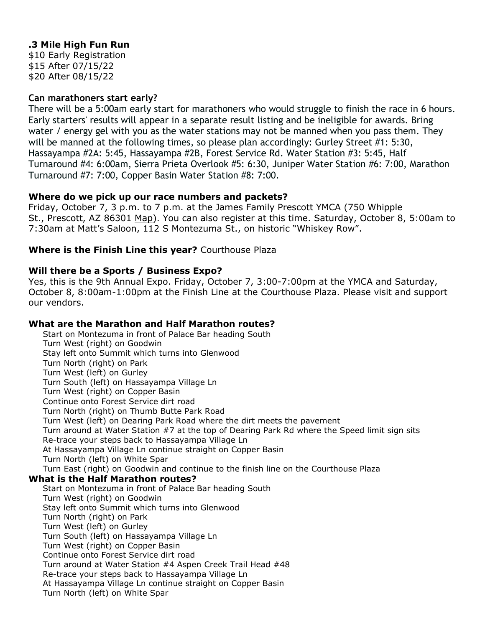## **.3 Mile High Fun Run**

\$10 Early Registration \$15 After 07/15/22 \$20 After 08/15/22

## **Can marathoners start early?**

There will be a 5:00am early start for marathoners who would struggle to finish the race in 6 hours. Early starters' results will appear in a separate result listing and be ineligible for awards. Bring water / energy gel with you as the water stations may not be manned when you pass them. They will be manned at the following times, so please plan accordingly: Gurley Street #1: 5:30, Hassayampa #2A: 5:45, Hassayampa #2B, Forest Service Rd. Water Station #3: 5:45, Half Turnaround #4: 6:00am, Sierra Prieta Overlook #5: 6:30, Juniper Water Station #6: 7:00, Marathon Turnaround #7: 7:00, Copper Basin Water Station #8: 7:00.

#### **Where do we pick up our race numbers and packets?**

Friday, October 7, 3 p.m. to 7 p.m. at the James Family Prescott YMCA (750 Whipple St., Prescott, AZ 86301 [Map\)](http://prescottymca.org/index.php?option=com_wrapper&Itemid=79). You can also register at this time. Saturday, October 8, 5:00am to 7:30am at Matt's Saloon, 112 S Montezuma St., on historic "Whiskey Row".

## **Where is the Finish Line this year?** Courthouse Plaza

#### **Will there be a Sports / Business Expo?**

Yes, this is the 9th Annual Expo. Friday, October 7, 3:00-7:00pm at the YMCA and Saturday, October 8, 8:00am-1:00pm at the Finish Line at the Courthouse Plaza. Please visit and support our vendors.

#### **What are the Marathon and Half Marathon routes?**

Start on Montezuma in front of Palace Bar heading South Turn West (right) on Goodwin Stay left onto Summit which turns into Glenwood Turn North (right) on Park Turn West (left) on Gurley Turn South (left) on Hassayampa Village Ln Turn West (right) on Copper Basin Continue onto Forest Service dirt road Turn North (right) on Thumb Butte Park Road Turn West (left) on Dearing Park Road where the dirt meets the pavement Turn around at Water Station #7 at the top of Dearing Park Rd where the Speed limit sign sits Re-trace your steps back to Hassayampa Village Ln At Hassayampa Village Ln continue straight on Copper Basin Turn North (left) on White Spar Turn East (right) on Goodwin and continue to the finish line on the Courthouse Plaza **What is the Half Marathon routes?** Start on Montezuma in front of Palace Bar heading South Turn West (right) on Goodwin Stay left onto Summit which turns into Glenwood Turn North (right) on Park Turn West (left) on Gurley Turn South (left) on Hassayampa Village Ln Turn West (right) on Copper Basin Continue onto Forest Service dirt road Turn around at Water Station #4 Aspen Creek Trail Head #48 Re-trace your steps back to Hassayampa Village Ln At Hassayampa Village Ln continue straight on Copper Basin Turn North (left) on White Spar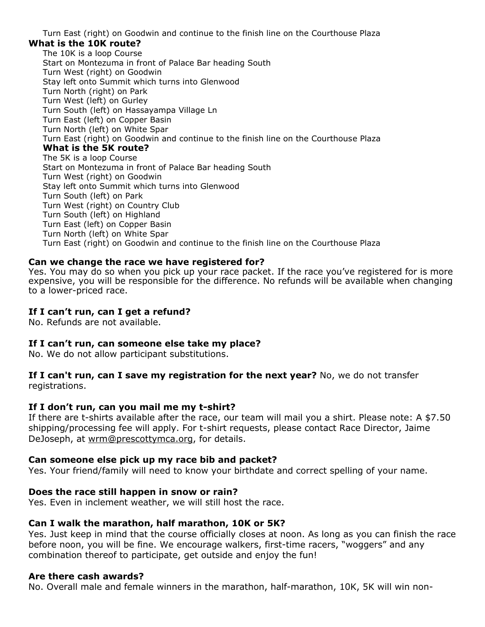Turn East (right) on Goodwin and continue to the finish line on the Courthouse Plaza

#### **What is the 10K route?**

The 10K is a loop Course Start on Montezuma in front of Palace Bar heading South Turn West (right) on Goodwin Stay left onto Summit which turns into Glenwood Turn North (right) on Park Turn West (left) on Gurley Turn South (left) on Hassayampa Village Ln Turn East (left) on Copper Basin Turn North (left) on White Spar Turn East (right) on Goodwin and continue to the finish line on the Courthouse Plaza **What is the 5K route?** The 5K is a loop Course Start on Montezuma in front of Palace Bar heading South Turn West (right) on Goodwin Stay left onto Summit which turns into Glenwood Turn South (left) on Park Turn West (right) on Country Club Turn South (left) on Highland Turn East (left) on Copper Basin Turn North (left) on White Spar Turn East (right) on Goodwin and continue to the finish line on the Courthouse Plaza

#### **Can we change the race we have registered for?**

Yes. You may do so when you pick up your race packet. If the race you've registered for is more expensive, you will be responsible for the difference. No refunds will be available when changing to a lower-priced race.

#### **If I can't run, can I get a refund?**

No. Refunds are not available.

#### **If I can't run, can someone else take my place?**

No. We do not allow participant substitutions.

**If I can't run, can I save my registration for the next year?** No, we do not transfer registrations.

#### **If I don't run, can you mail me my t-shirt?**

If there are t-shirts available after the race, our team will mail you a shirt. Please note: A \$7.50 shipping/processing fee will apply. For t-shirt requests, please contact Race Director, Jaime DeJoseph, at [wrm@prescottymca.org,](mailto:wrm@prescottymca.org) for details.

#### **Can someone else pick up my race bib and packet?**

Yes. Your friend/family will need to know your birthdate and correct spelling of your name.

#### **Does the race still happen in snow or rain?**

Yes. Even in inclement weather, we will still host the race.

## **Can I walk the marathon, half marathon, 10K or 5K?**

Yes. Just keep in mind that the course officially closes at noon. As long as you can finish the race before noon, you will be fine. We encourage walkers, first-time racers, "woggers" and any combination thereof to participate, get outside and enjoy the fun!

#### **Are there cash awards?**

No. Overall male and female winners in the marathon, half-marathon, 10K, 5K will win non-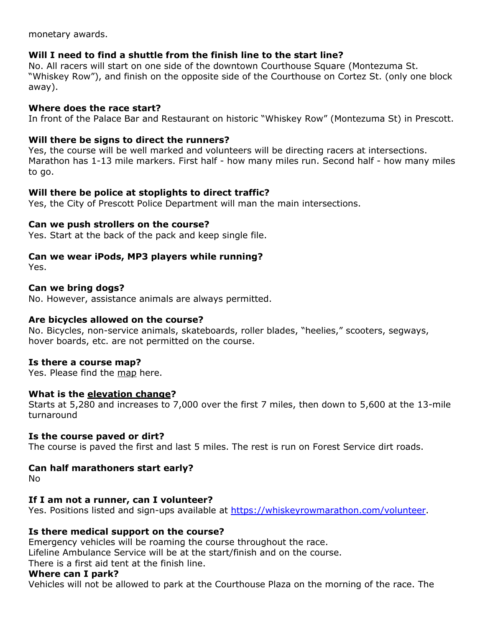monetary awards.

## **Will I need to find a shuttle from the finish line to the start line?**

No. All racers will start on one side of the downtown Courthouse Square (Montezuma St. "Whiskey Row"), and finish on the opposite side of the Courthouse on Cortez St. (only one block away).

## **Where does the race start?**

In front of the Palace Bar and Restaurant on historic "Whiskey Row" (Montezuma St) in Prescott.

## **Will there be signs to direct the runners?**

Yes, the course will be well marked and volunteers will be directing racers at intersections. Marathon has 1-13 mile markers. First half - how many miles run. Second half - how many miles to go.

## **Will there be police at stoplights to direct traffic?**

Yes, the City of Prescott Police Department will man the main intersections.

#### **Can we push strollers on the course?**

Yes. Start at the back of the pack and keep single file.

## **Can we wear iPods, MP3 players while running?**

Yes.

#### **Can we bring dogs?**

No. However, assistance animals are always permitted.

#### **Are bicycles allowed on the course?**

No. Bicycles, non-service animals, skateboards, roller blades, "heelies," scooters, segways, hover boards, etc. are not permitted on the course.

#### **Is there a course map?**

Yes. Please find the [map](http://www.whiskeyrowmarathon.com/whiskeyrowmarathan/site_files/editor_files/image/file/wrm_map_2008.pdf) here.

#### **What is the [elevation change?](http://www.whiskeyrowmarathon.com/whiskeyrowmarathan/site_files/editor_files/image/file/WhiskeyRowProfiles_All.pdf)**

Starts at 5,280 and increases to 7,000 over the first 7 miles, then down to 5,600 at the 13-mile turnaround

#### **Is the course paved or dirt?**

The course is paved the first and last 5 miles. The rest is run on Forest Service dirt roads.

## **Can half marathoners start early?**

No

## **If I am not a runner, can I volunteer?**

Yes. Positions listed and sign-ups available at [https://whiskeyrowmarathon.com/volunteer.](https://whiskeyrowmarathon.com/volunteer)

## **Is there medical support on the course?**

Emergency vehicles will be roaming the course throughout the race.

Lifeline Ambulance Service will be at the start/finish and on the course.

There is a first aid tent at the finish line.

#### **Where can I park?**

Vehicles will not be allowed to park at the Courthouse Plaza on the morning of the race. The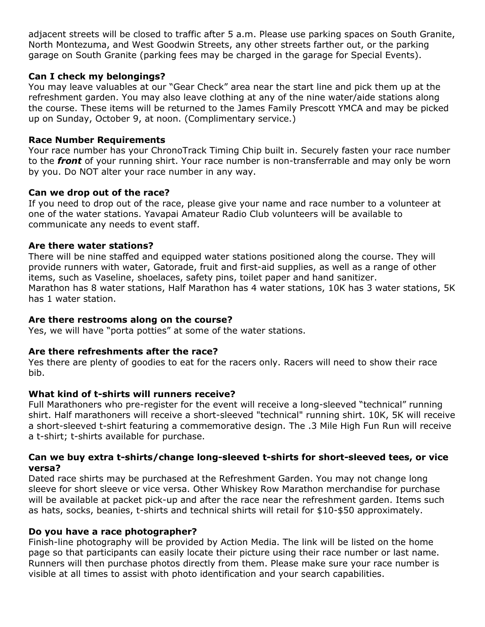adjacent streets will be closed to traffic after 5 a.m. Please use parking spaces on South Granite, North Montezuma, and West Goodwin Streets, any other streets farther out, or the parking garage on South Granite (parking fees may be charged in the garage for Special Events).

## **Can I check my belongings?**

You may leave valuables at our "Gear Check" area near the start line and pick them up at the refreshment garden. You may also leave clothing at any of the nine water/aide stations along the course. These items will be returned to the James Family Prescott YMCA and may be picked up on Sunday, October 9, at noon. (Complimentary service.)

## **Race Number Requirements**

Your race number has your ChronoTrack Timing Chip built in. Securely fasten your race number to the *front* of your running shirt. Your race number is non-transferrable and may only be worn by you. Do NOT alter your race number in any way.

## **Can we drop out of the race?**

If you need to drop out of the race, please give your name and race number to a volunteer at one of the water stations. Yavapai Amateur Radio Club volunteers will be available to communicate any needs to event staff.

## **Are there water stations?**

There will be nine staffed and equipped water stations positioned along the course. They will provide runners with water, Gatorade, fruit and first-aid supplies, as well as a range of other items, such as Vaseline, shoelaces, safety pins, toilet paper and hand sanitizer. Marathon has 8 water stations, Half Marathon has 4 water stations, 10K has 3 water stations, 5K has 1 water station.

## **Are there restrooms along on the course?**

Yes, we will have "porta potties" at some of the water stations.

## **Are there refreshments after the race?**

Yes there are plenty of goodies to eat for the racers only. Racers will need to show their race bib.

## **What kind of t-shirts will runners receive?**

Full Marathoners who pre-register for the event will receive a long-sleeved "technical" running shirt. Half marathoners will receive a short-sleeved "technical" running shirt. 10K, 5K will receive a short-sleeved t-shirt featuring a commemorative design. The .3 Mile High Fun Run will receive a t-shirt; t-shirts available for purchase.

#### **Can we buy extra t-shirts/change long-sleeved t-shirts for short-sleeved tees, or vice versa?**

Dated race shirts may be purchased at the Refreshment Garden. You may not change long sleeve for short sleeve or vice versa. Other Whiskey Row Marathon merchandise for purchase will be available at packet pick-up and after the race near the refreshment garden. Items such as hats, socks, beanies, t-shirts and technical shirts will retail for \$10-\$50 approximately.

## **Do you have a race photographer?**

Finish-line photography will be provided by Action Media. The link will be listed on the home page so that participants can easily locate their picture using their race number or last name. Runners will then purchase photos directly from them. Please make sure your race number is visible at all times to assist with photo identification and your search capabilities.